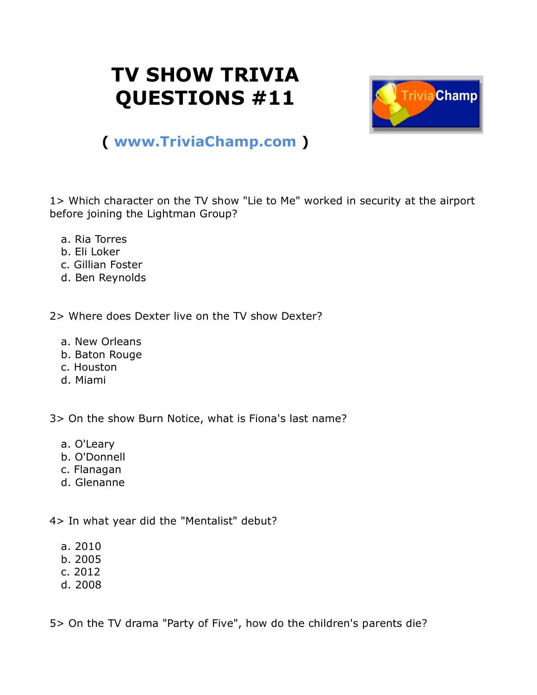## **TV SHOW TRIVIA QUESTIONS #11**



## **( [www.TriviaChamp.com](http://www.triviachamp.com/) )**

1> Which character on the TV show "Lie to Me" worked in security at the airport before joining the Lightman Group?

- a. Ria Torres
- b. Eli Loker
- c. Gillian Foster
- d. Ben Reynolds

2> Where does Dexter live on the TV show Dexter?

- a. New Orleans
- b. Baton Rouge
- c. Houston
- d. Miami

3> On the show Burn Notice, what is Fiona's last name?

- a. O'Leary
- b. O'Donnell
- c. Flanagan
- d. Glenanne

4> In what year did the "Mentalist" debut?

- a. 2010
- b. 2005
- c. 2012
- d. 2008

5> On the TV drama "Party of Five", how do the children's parents die?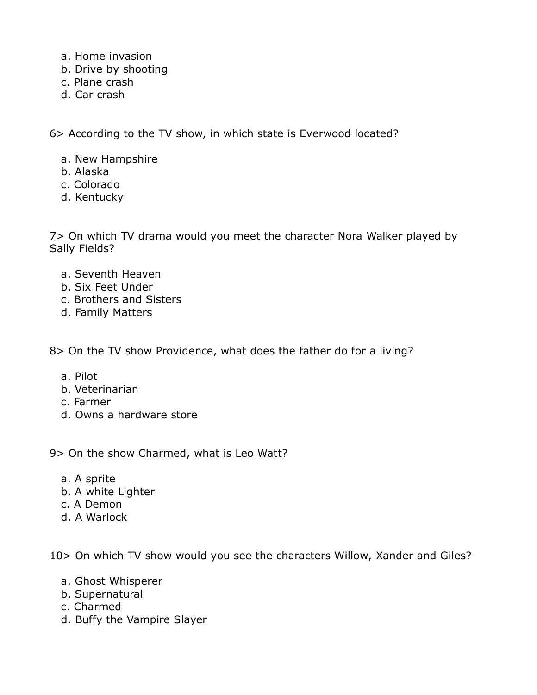- a. Home invasion
- b. Drive by shooting
- c. Plane crash
- d. Car crash

6> According to the TV show, in which state is Everwood located?

- a. New Hampshire
- b. Alaska
- c. Colorado
- d. Kentucky

7> On which TV drama would you meet the character Nora Walker played by Sally Fields?

- a. Seventh Heaven
- b. Six Feet Under
- c. Brothers and Sisters
- d. Family Matters

8> On the TV show Providence, what does the father do for a living?

- a. Pilot
- b. Veterinarian
- c. Farmer
- d. Owns a hardware store

9> On the show Charmed, what is Leo Watt?

- a. A sprite
- b. A white Lighter
- c. A Demon
- d. A Warlock

10> On which TV show would you see the characters Willow, Xander and Giles?

- a. Ghost Whisperer
- b. Supernatural
- c. Charmed
- d. Buffy the Vampire Slayer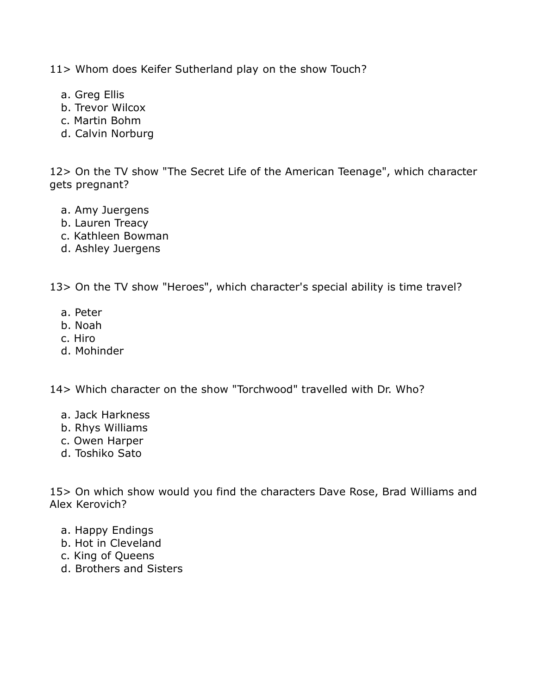11> Whom does Keifer Sutherland play on the show Touch?

- a. Greg Ellis
- b. Trevor Wilcox
- c. Martin Bohm
- d. Calvin Norburg

12> On the TV show "The Secret Life of the American Teenage", which character gets pregnant?

- a. Amy Juergens
- b. Lauren Treacy
- c. Kathleen Bowman
- d. Ashley Juergens

13> On the TV show "Heroes", which character's special ability is time travel?

- a. Peter
- b. Noah
- c. Hiro
- d. Mohinder

14> Which character on the show "Torchwood" travelled with Dr. Who?

- a. Jack Harkness
- b. Rhys Williams
- c. Owen Harper
- d. Toshiko Sato

15> On which show would you find the characters Dave Rose, Brad Williams and Alex Kerovich?

- a. Happy Endings
- b. Hot in Cleveland
- c. King of Queens
- d. Brothers and Sisters